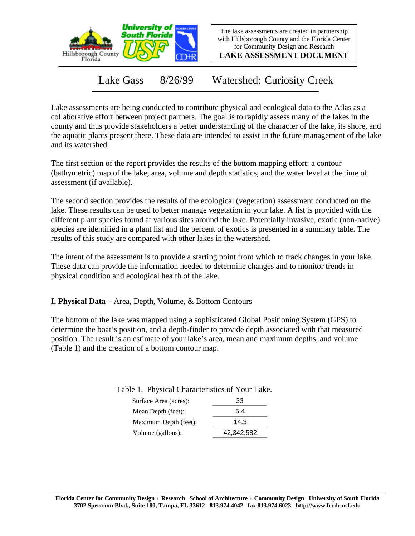

The lake assessments are created in partnership with Hillsborough County and the Florida Center for Community Design and Research

**LAKE ASSESSMENT DOCUMENT**

Lake Gass 8/26/99 Watershed: Curiosity Creek

Lake assessments are being conducted to contribute physical and ecological data to the Atlas as a collaborative effort between project partners. The goal is to rapidly assess many of the lakes in the county and thus provide stakeholders a better understanding of the character of the lake, its shore, and the aquatic plants present there. These data are intended to assist in the future management of the lake and its watershed.

The first section of the report provides the results of the bottom mapping effort: a contour (bathymetric) map of the lake, area, volume and depth statistics, and the water level at the time of assessment (if available).

The second section provides the results of the ecological (vegetation) assessment conducted on the lake. These results can be used to better manage vegetation in your lake. A list is provided with the different plant species found at various sites around the lake. Potentially invasive, exotic (non-native) species are identified in a plant list and the percent of exotics is presented in a summary table. The results of this study are compared with other lakes in the watershed.

The intent of the assessment is to provide a starting point from which to track changes in your lake. These data can provide the information needed to determine changes and to monitor trends in physical condition and ecological health of the lake.

**I. Physical Data –** Area, Depth, Volume, & Bottom Contours

The bottom of the lake was mapped using a sophisticated Global Positioning System (GPS) to determine the boat's position, and a depth-finder to provide depth associated with that measured position. The result is an estimate of your lake's area, mean and maximum depths, and volume (Table 1) and the creation of a bottom contour map.

| Surface Area (acres): | 33         |
|-----------------------|------------|
| Mean Depth (feet):    | 5.4        |
| Maximum Depth (feet): | 14.3       |
| Volume (gallons):     | 42,342,582 |

Table 1. Physical Characteristics of Your Lake.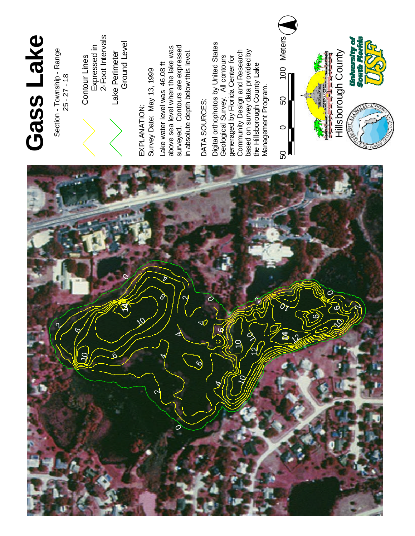

## **G a s s L a k e**

Contour Lines<br>Expressed in<br>2-Foot Intervals

w a s expressed

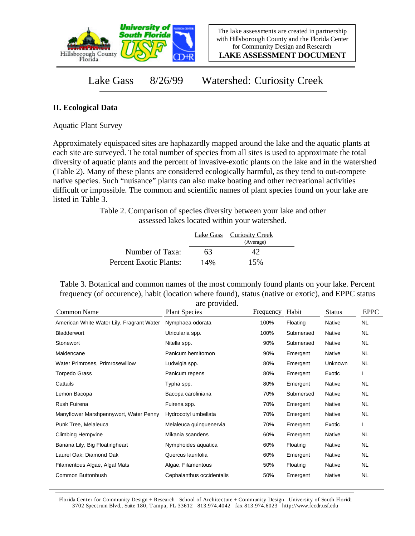

**LAKE ASSESSMENT DOCUMENT**

Lake Gass 8/26/99 Watershed: Curiosity Creek

## **II. Ecological Data**

Aquatic Plant Survey

Approximately equispaced sites are haphazardly mapped around the lake and the aquatic plants at each site are surveyed. The total number of species from all sites is used to approximate the total diversity of aquatic plants and the percent of invasive-exotic plants on the lake and in the watershed (Table 2). Many of these plants are considered ecologically harmful, as they tend to out-compete native species. Such "nuisance" plants can also make boating and other recreational activities difficult or impossible. The common and scientific names of plant species found on your lake are listed in Table 3.

> Table 2. Comparison of species diversity between your lake and other assessed lakes located within your watershed.

|                        |     | Lake Gass Curiosity Creek<br>(Average) |  |
|------------------------|-----|----------------------------------------|--|
| Number of Taxa:        | 63  |                                        |  |
| Percent Exotic Plants: | 14% | 15%                                    |  |

Table 3. Botanical and common names of the most commonly found plants on your lake. Percent frequency (of occurence), habit (location where found), status (native or exotic), and EPPC status are provided.

| Common Name                               | are provided.<br><b>Plant Species</b> | Frequency | Habit     | <b>Status</b> | <b>EPPC</b> |
|-------------------------------------------|---------------------------------------|-----------|-----------|---------------|-------------|
| American White Water Lily, Fragrant Water | Nymphaea odorata                      | 100%      | Floating  | Native        | NL.         |
| Bladderwort                               | Utricularia spp.                      | 100%      | Submersed | Native        | NL.         |
| Stonewort                                 | Nitella spp.                          | 90%       | Submersed | Native        | NL.         |
| Maidencane                                | Panicum hemitomon                     | 90%       | Emergent  | Native        | NL.         |
| Water Primroses, Primrosewillow           | Ludwigia spp.                         | 80%       | Emergent  | Unknown       | NL.         |
| Torpedo Grass                             | Panicum repens                        | 80%       | Emergent  | Exotic        |             |
| Cattails                                  | Typha spp.                            | 80%       | Emergent  | Native        | NL          |
| Lemon Bacopa                              | Bacopa caroliniana                    | 70%       | Submersed | Native        | NL.         |
| Rush Fuirena                              | Fuirena spp.                          | 70%       | Emergent  | Native        | NL.         |
| Manyflower Marshpennywort, Water Penny    | Hydrocotyl umbellata                  | 70%       | Emergent  | Native        | NL          |
| Punk Tree, Melaleuca                      | Melaleuca quinquenervia               | 70%       | Emergent  | Exotic        |             |
| <b>Climbing Hempvine</b>                  | Mikania scandens                      | 60%       | Emergent  | Native        | NL          |
| Banana Lily, Big Floatingheart            | Nymphoides aquatica                   | 60%       | Floating  | Native        | NL.         |
| Laurel Oak; Diamond Oak                   | Quercus laurifolia                    | 60%       | Emergent  | Native        | NL.         |
| Filamentous Algae, Algal Mats             | Algae, Filamentous                    | 50%       | Floating  | Native        | NL.         |
| Common Buttonbush                         | Cephalanthus occidentalis             | 50%       | Emergent  | Native        | <b>NL</b>   |
|                                           |                                       |           |           |               |             |

Florida Center for Community Design + Research School of Architecture + Community Design University of South Florida 3702 Spectrum Blvd., Suite 180, Tampa, FL 33612 813.974.4042 fax 813.974.6023 http://www.fccdr.usf.edu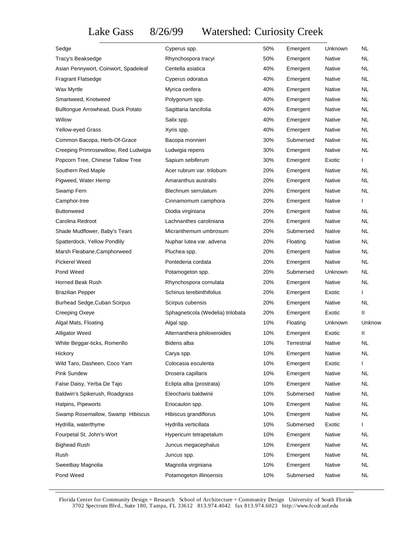Lake Gass 8/26/99 Watershed: Curiosity Creek

| Sedge                                 | Cyperus spp.                      | 50% | Emergent    | Unknown       | NL.       |
|---------------------------------------|-----------------------------------|-----|-------------|---------------|-----------|
| Tracy's Beaksedge                     | Rhynchospora tracyi               | 50% | Emergent    | Native        | NL        |
| Asian Pennywort, Coinwort, Spadeleaf  | Centella asiatica                 | 40% | Emergent    | Native        | <b>NL</b> |
| <b>Fragrant Flatsedge</b>             | Cyperus odoratus                  | 40% | Emergent    | Native        | NL        |
| Wax Myrtle                            | Myrica cerifera                   | 40% | Emergent    | Native        | NL        |
| Smartweed, Knotweed                   | Polygonum spp.                    | 40% | Emergent    | Native        | NL        |
| Bulltongue Arrowhead, Duck Potato     | Sagittaria lancifolia             | 40% | Emergent    | Native        | <b>NL</b> |
| Willow                                | Salix spp.                        | 40% | Emergent    | Native        | NL        |
| Yellow-eyed Grass                     | Xyris spp.                        | 40% | Emergent    | <b>Native</b> | NL        |
| Common Bacopa, Herb-Of-Grace          | Bacopa monnieri                   | 30% | Submersed   | Native        | NL        |
| Creeping Primrosewillow, Red Ludwigia | Ludwigia repens                   | 30% | Emergent    | Native        | NL        |
| Popcorn Tree, Chinese Tallow Tree     | Sapium sebiferum                  | 30% | Emergent    | Exotic        | L         |
| Southern Red Maple                    | Acer rubrum var. trilobum         | 20% | Emergent    | Native        | NL.       |
| Pigweed, Water Hemp                   | Amaranthus australis              | 20% | Emergent    | Native        | NL        |
| Swamp Fern                            | Blechnum serrulatum               | 20% | Emergent    | Native        | NL        |
| Camphor-tree                          | Cinnamomum camphora               | 20% | Emergent    | Native        | L         |
| <b>Buttonweed</b>                     | Diodia virginiana                 | 20% | Emergent    | Native        | NL.       |
| Carolina Redroot                      | Lachnanthes caroliniana           | 20% | Emergent    | Native        | NL        |
| Shade Mudflower, Baby's Tears         | Micranthemum umbrosum             | 20% | Submersed   | Native        | NL        |
| Spatterdock, Yellow Pondlily          | Nuphar lutea var. advena          | 20% | Floating    | Native        | NL        |
| Marsh Fleabane, Camphorweed           | Pluchea spp.                      | 20% | Emergent    | Native        | <b>NL</b> |
| <b>Pickerel Weed</b>                  | Pontederia cordata                | 20% | Emergent    | Native        | NL        |
| Pond Weed                             | Potamogeton spp.                  | 20% | Submersed   | Unknown       | NL        |
| Horned Beak Rush                      | Rhynchospora cornulata            | 20% | Emergent    | Native        | NL        |
| <b>Brazilian Pepper</b>               | Schinus terebinthifolius          | 20% | Emergent    | Exotic        | I         |
| <b>Burhead Sedge, Cuban Scirpus</b>   | Scirpus cubensis                  | 20% | Emergent    | Native        | <b>NL</b> |
| Creeping Oxeye                        | Sphagneticola (Wedelia) trilobata | 20% | Emergent    | Exotic        | Ш         |
| Algal Mats, Floating                  | Algal spp.                        | 10% | Floating    | Unknown       | Unknow    |
| Alligator Weed                        | Alternanthera philoxeroides       | 10% | Emergent    | Exotic        | Ш         |
| White Beggar-ticks, Romerillo         | Bidens alba                       | 10% | Terrestrial | Native        | NL        |
| Hickory                               | Carya spp.                        | 10% | Emergent    | Native        | <b>NL</b> |
| Wild Taro, Dasheen, Coco Yam          | Colocasia esculenta               | 10% | Emergent    | Exotic        |           |
| Pink Sundew                           | Drosera capillaris                | 10% | Emergent    | Native        | <b>NL</b> |
| False Daisy, Yerba De Tajo            | Eclipta alba (prostrata)          | 10% | Emergent    | Native        | <b>NL</b> |
| Baldwin's Spikerush, Roadgrass        | Eleocharis baldwinii              | 10% | Submersed   | Native        | <b>NL</b> |
| Hatpins, Pipeworts                    | Eriocaulon spp.                   | 10% | Emergent    | Native        | <b>NL</b> |
| Swamp Rosemallow, Swamp Hibiscus      | Hibiscus grandiflorus             | 10% | Emergent    | Native        | <b>NL</b> |
| Hydrilla, waterthyme                  | Hydrilla verticillata             | 10% | Submersed   | Exotic        |           |
| Fourpetal St. John's-Wort             | Hypericum tetrapetalum            | 10% | Emergent    | Native        | <b>NL</b> |
| <b>Bighead Rush</b>                   | Juncus megacephalus               | 10% | Emergent    | Native        | <b>NL</b> |
| Rush                                  | Juncus spp.                       | 10% | Emergent    | Native        | <b>NL</b> |
| Sweetbay Magnolia                     | Magnolia virginiana               | 10% | Emergent    | Native        | <b>NL</b> |
| Pond Weed                             | Potamogeton illinoensis           | 10% | Submersed   | Native        | <b>NL</b> |

Florida Center for Community Design + Research School of Architecture + Community Design University of South Florida 3702 Spectrum Blvd., Suite 180, Tampa, FL 33612 813.974.4042 fax 813.974.6023 http://www.fccdr.usf.edu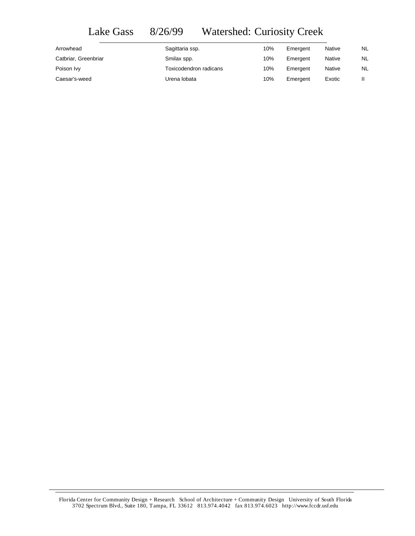## Lake Gass 8/26/99 Watershed: Curiosity Creek

| Arrowhead            | Sagittaria ssp.        | 10% | Emergent | <b>Native</b> | NL. |
|----------------------|------------------------|-----|----------|---------------|-----|
| Catbriar, Greenbriar | Smilax spp.            | 10% | Emergent | <b>Native</b> | NL  |
| Poison Ivy           | Toxicodendron radicans | 10% | Emergent | <b>Native</b> | NL  |
| Caesar's-weed        | Urena lobata           | 10% | Emergent | Exotic        |     |